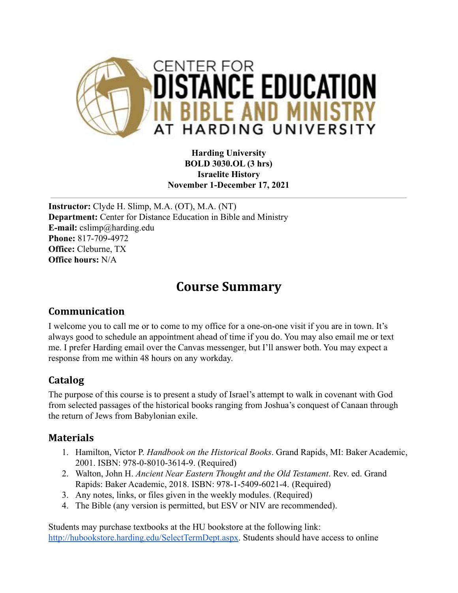

#### **Harding University BOLD 3030.OL (3 hrs) Israelite History November 1-December 17, 2021**

**Instructor:** Clyde H. Slimp, M.A. (OT), M.A. (NT) **Department:** Center for Distance Education in Bible and Ministry **E-mail:** cslimp@harding.edu **Phone:** 817-709-4972 **Office:** Cleburne, TX **Office hours:** N/A

# **Course Summary**

#### **Communication**

I welcome you to call me or to come to my office for a one-on-one visit if you are in town. It's always good to schedule an appointment ahead of time if you do. You may also email me or text me. I prefer Harding email over the Canvas messenger, but I'll answer both. You may expect a response from me within 48 hours on any workday.

## **Catalog**

The purpose of this course is to present a study of Israel's attempt to walk in covenant with God from selected passages of the historical books ranging from Joshua's conquest of Canaan through the return of Jews from Babylonian exile.

#### **Materials**

- 1. Hamilton, Victor P. *Handbook on the Historical Books*. Grand Rapids, MI: Baker Academic, 2001. ISBN: 978-0-8010-3614-9. (Required)
- 2. Walton, John H. *Ancient Near Eastern Thought and the Old Testament*. Rev. ed. Grand Rapids: Baker Academic, 2018. ISBN: 978-1-5409-6021-4. (Required)
- 3. Any notes, links, or files given in the weekly modules. (Required)
- 4. The Bible (any version is permitted, but ESV or NIV are recommended).

Students may purchase textbooks at the HU bookstore at the following link: [http://hubookstore.harding.edu/SelectTermDept.aspx.](http://hubookstore.harding.edu/SelectTermDept.aspx) Students should have access to online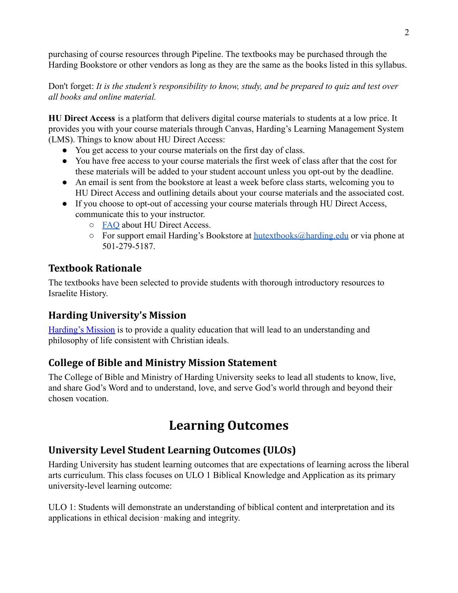purchasing of course resources through Pipeline. The textbooks may be purchased through the Harding Bookstore or other vendors as long as they are the same as the books listed in this syllabus.

Don't forget: *It is the student's responsibility to know, study, and be prepared to quiz and test over all books and online material.*

**HU Direct Access** is a platform that delivers digital course materials to students at a low price. It provides you with your course materials through Canvas, Harding's Learning Management System (LMS). Things to know about HU Direct Access:

- You get access to your course materials on the first day of class.
- You have free access to your course materials the first week of class after that the cost for these materials will be added to your student account unless you opt-out by the deadline.
- An email is sent from the bookstore at least a week before class starts, welcoming you to HU Direct Access and outlining details about your course materials and the associated cost.
- If you choose to opt-out of accessing your course materials through HU Direct Access, communicate this to your instructor.
	- [FAQ](https://drive.google.com/file/d/1hPrNJgpgHCyjLotWhfGvKBU8P4VdTFB8/view?usp=sharing) about HU Direct Access.
	- $\circ$  For support email Harding's Bookstore at [hutextbooks@harding.edu](mailto:hutextbooks@harding.edu) or via phone at 501-279-5187.

#### **Textbook Rationale**

The textbooks have been selected to provide students with thorough introductory resources to Israelite History.

## **Harding University's Mission**

[Harding's Mission](https://www.harding.edu/about/mission) is to provide a quality education that will lead to an understanding and philosophy of life consistent with Christian ideals.

## **College of Bible and Ministry Mission Statement**

The College of Bible and Ministry of Harding University seeks to lead all students to know, live, and share God's Word and to understand, love, and serve God's world through and beyond their chosen vocation.

# **Learning Outcomes**

## **University Level Student Learning Outcomes (ULOs)**

Harding University has student learning outcomes that are expectations of learning across the liberal arts curriculum. This class focuses on ULO 1 Biblical Knowledge and Application as its primary university-level learning outcome:

ULO 1: Students will demonstrate an understanding of biblical content and interpretation and its applications in ethical decision‐making and integrity.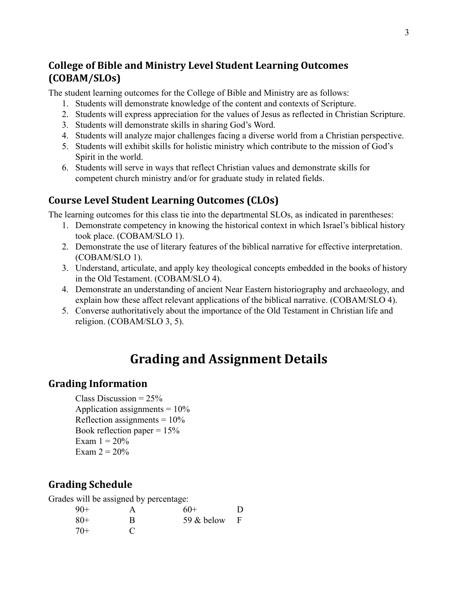#### **College of Bible and Ministry Level Student Learning Outcomes (COBAM/SLOs)**

The student learning outcomes for the College of Bible and Ministry are as follows:

- 1. Students will demonstrate knowledge of the content and contexts of Scripture.
- 2. Students will express appreciation for the values of Jesus as reflected in Christian Scripture.
- 3. Students will demonstrate skills in sharing God's Word.
- 4. Students will analyze major challenges facing a diverse world from a Christian perspective.
- 5. Students will exhibit skills for holistic ministry which contribute to the mission of God's Spirit in the world.
- 6. Students will serve in ways that reflect Christian values and demonstrate skills for competent church ministry and/or for graduate study in related fields.

#### **Course Level Student Learning Outcomes (CLOs)**

The learning outcomes for this class tie into the departmental SLOs, as indicated in parentheses:

- 1. Demonstrate competency in knowing the historical context in which Israel's biblical history took place. (COBAM/SLO 1).
- 2. Demonstrate the use of literary features of the biblical narrative for effective interpretation. (COBAM/SLO 1).
- 3. Understand, articulate, and apply key theological concepts embedded in the books of history in the Old Testament. (COBAM/SLO 4).
- 4. Demonstrate an understanding of ancient Near Eastern historiography and archaeology, and explain how these affect relevant applications of the biblical narrative. (COBAM/SLO 4).
- 5. Converse authoritatively about the importance of the Old Testament in Christian life and religion. (COBAM/SLO 3, 5).

# **Grading and Assignment Details**

#### **Grading Information**

Class Discussion =  $25%$ Application assignments  $= 10\%$ Reflection assignments =  $10\%$ Book reflection paper  $= 15\%$ Exam  $1 = 20\%$ Exam  $2 = 20%$ 

#### **Grading Schedule**

Grades will be assigned by percentage:

| $90+$ |   | 60+          | Ð            |
|-------|---|--------------|--------------|
| $80+$ | R | 59 $&$ below | $\mathbf{F}$ |
| $70+$ | C |              |              |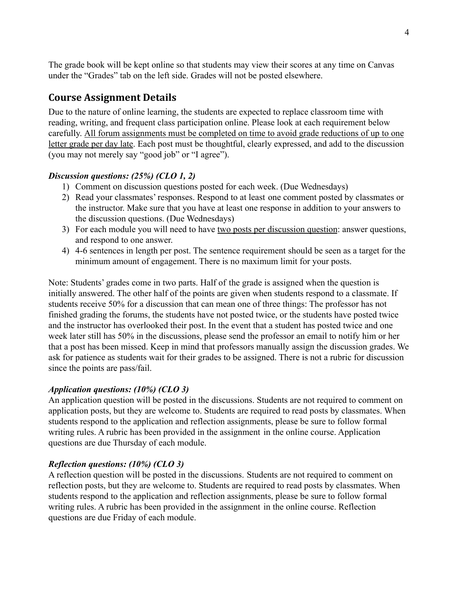The grade book will be kept online so that students may view their scores at any time on Canvas under the "Grades" tab on the left side. Grades will not be posted elsewhere.

#### **Course Assignment Details**

Due to the nature of online learning, the students are expected to replace classroom time with reading, writing, and frequent class participation online. Please look at each requirement below carefully. All forum assignments must be completed on time to avoid grade reductions of up to one letter grade per day late. Each post must be thoughtful, clearly expressed, and add to the discussion (you may not merely say "good job" or "I agree").

#### *Discussion questions: (25%) (CLO 1, 2)*

- 1) Comment on discussion questions posted for each week. (Due Wednesdays)
- 2) Read your classmates' responses. Respond to at least one comment posted by classmates or the instructor. Make sure that you have at least one response in addition to your answers to the discussion questions. (Due Wednesdays)
- 3) For each module you will need to have two posts per discussion question: answer questions, and respond to one answer.
- 4) 4-6 sentences in length per post. The sentence requirement should be seen as a target for the minimum amount of engagement. There is no maximum limit for your posts.

Note: Students' grades come in two parts. Half of the grade is assigned when the question is initially answered. The other half of the points are given when students respond to a classmate. If students receive 50% for a discussion that can mean one of three things: The professor has not finished grading the forums, the students have not posted twice, or the students have posted twice and the instructor has overlooked their post. In the event that a student has posted twice and one week later still has 50% in the discussions, please send the professor an email to notify him or her that a post has been missed. Keep in mind that professors manually assign the discussion grades. We ask for patience as students wait for their grades to be assigned. There is not a rubric for discussion since the points are pass/fail.

#### *Application questions: (10%) (CLO 3)*

An application question will be posted in the discussions. Students are not required to comment on application posts, but they are welcome to. Students are required to read posts by classmates. When students respond to the application and reflection assignments, please be sure to follow formal writing rules. A rubric has been provided in the assignment in the online course. Application questions are due Thursday of each module.

#### *Reflection questions: (10%) (CLO 3)*

A reflection question will be posted in the discussions. Students are not required to comment on reflection posts, but they are welcome to. Students are required to read posts by classmates. When students respond to the application and reflection assignments, please be sure to follow formal writing rules. A rubric has been provided in the assignment in the online course. Reflection questions are due Friday of each module.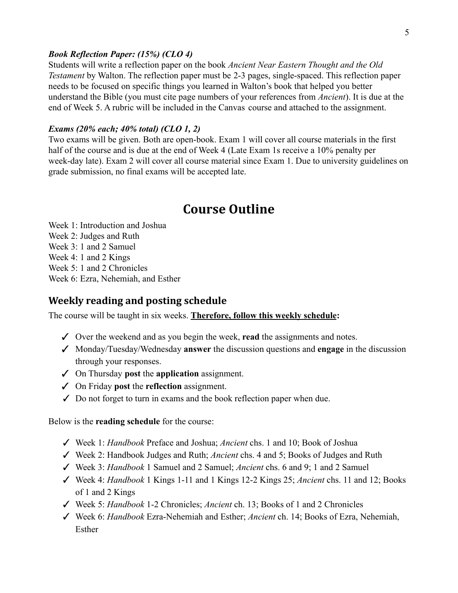#### *Book Reflection Paper: (15%) (CLO 4)*

Students will write a reflection paper on the book *Ancient Near Eastern Thought and the Old Testament* by Walton. The reflection paper must be 2-3 pages, single-spaced. This reflection paper needs to be focused on specific things you learned in Walton's book that helped you better understand the Bible (you must cite page numbers of your references from *Ancient*). It is due at the end of Week 5. A rubric will be included in the Canvas course and attached to the assignment.

#### *Exams (20% each; 40% total) (CLO 1, 2)*

Two exams will be given. Both are open-book. Exam 1 will cover all course materials in the first half of the course and is due at the end of Week 4 (Late Exam 1s receive a 10% penalty per week-day late). Exam 2 will cover all course material since Exam 1. Due to university guidelines on grade submission, no final exams will be accepted late.

## **Course Outline**

Week 1: Introduction and Joshua Week 2: Judges and Ruth Week 3: 1 and 2 Samuel Week 4: 1 and 2 Kings Week 5: 1 and 2 Chronicles Week 6: Ezra, Nehemiah, and Esther

#### **Weekly reading and posting schedule**

The course will be taught in six weeks. **Therefore, follow this weekly schedule:**

- ✓ Over the weekend and as you begin the week, **read** the assignments and notes.
- ✓ Monday/Tuesday/Wednesday **answer** the discussion questions and **engage** in the discussion through your responses.
- ✓ On Thursday **post** the **application** assignment.
- ✓ On Friday **post** the **reflection** assignment.
- $\checkmark$  Do not forget to turn in exams and the book reflection paper when due.

Below is the **reading schedule** for the course:

- ✓ Week 1: *Handbook* Preface and Joshua; *Ancient* chs. 1 and 10; Book of Joshua
- ✓ Week 2: Handbook Judges and Ruth; *Ancient* chs. 4 and 5; Books of Judges and Ruth
- ✓ Week 3: *Handbook* 1 Samuel and 2 Samuel; *Ancient* chs. 6 and 9; 1 and 2 Samuel
- ✓ Week 4: *Handbook* 1 Kings 1-11 and 1 Kings 12-2 Kings 25; *Ancient* chs. 11 and 12; Books of 1 and 2 Kings
- ✓ Week 5: *Handbook* 1-2 Chronicles; *Ancient* ch. 13; Books of 1 and 2 Chronicles
- ✓ Week 6: *Handbook* Ezra-Nehemiah and Esther; *Ancient* ch. 14; Books of Ezra, Nehemiah, Esther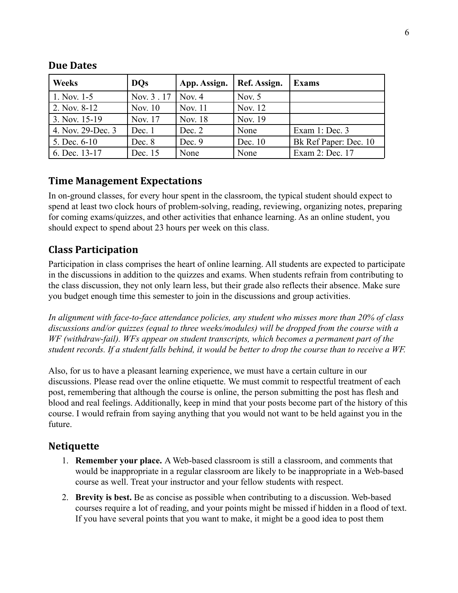| <b>Weeks</b>      | <b>DOs</b> | App. Assign. | Ref. Assign. | <b>Exams</b>          |
|-------------------|------------|--------------|--------------|-----------------------|
| 1. Nov. 1-5       | Nov. 3.17  | Nov. 4       | Nov. $5$     |                       |
| 2. Nov. 8-12      | Nov. 10    | Nov. 11      | Nov. 12      |                       |
| 3. Nov. 15-19     | Nov. 17    | Nov. 18      | Nov. 19      |                       |
| 4. Nov. 29-Dec. 3 | Dec. 1     | Dec. 2       | None         | Exam $1:Dec. 3$       |
| 5. Dec. 6-10      | Dec. 8     | Dec. 9       | Dec. 10      | Bk Ref Paper: Dec. 10 |
| 6. Dec. 13-17     | Dec. 15    | None         | None         | Exam 2: Dec. 17       |

#### **Due Dates**

#### **Time Management Expectations**

In on-ground classes, for every hour spent in the classroom, the typical student should expect to spend at least two clock hours of problem-solving, reading, reviewing, organizing notes, preparing for coming exams/quizzes, and other activities that enhance learning. As an online student, you should expect to spend about 23 hours per week on this class.

#### **Class Participation**

Participation in class comprises the heart of online learning. All students are expected to participate in the discussions in addition to the quizzes and exams. When students refrain from contributing to the class discussion, they not only learn less, but their grade also reflects their absence. Make sure you budget enough time this semester to join in the discussions and group activities.

*In alignment with face-to-face attendance policies, any student who misses more than 20% of class discussions and/or quizzes (equal to three weeks/modules) will be dropped from the course with a WF (withdraw-fail). WFs appear on student transcripts, which becomes a permanent part of the student records. If a student falls behind, it would be better to drop the course than to receive a WF.*

Also, for us to have a pleasant learning experience, we must have a certain culture in our discussions. Please read over the online etiquette. We must commit to respectful treatment of each post, remembering that although the course is online, the person submitting the post has flesh and blood and real feelings. Additionally, keep in mind that your posts become part of the history of this course. I would refrain from saying anything that you would not want to be held against you in the future.

#### **Netiquette**

- 1. **Remember your place.** A Web-based classroom is still a classroom, and comments that would be inappropriate in a regular classroom are likely to be inappropriate in a Web-based course as well. Treat your instructor and your fellow students with respect.
- 2. **Brevity is best.** Be as concise as possible when contributing to a discussion. Web-based courses require a lot of reading, and your points might be missed if hidden in a flood of text. If you have several points that you want to make, it might be a good idea to post them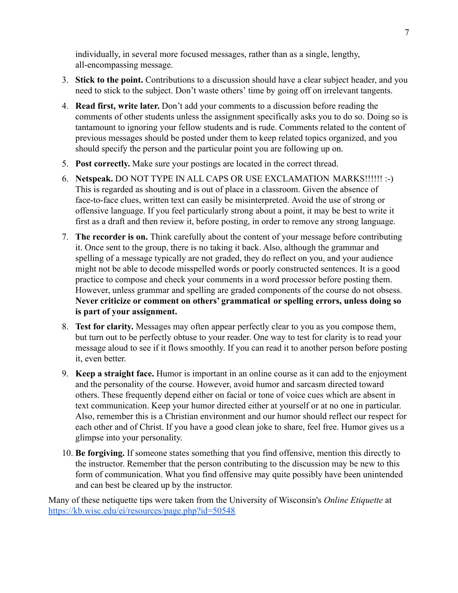individually, in several more focused messages, rather than as a single, lengthy, all-encompassing message.

- 3. **Stick to the point.** Contributions to a discussion should have a clear subject header, and you need to stick to the subject. Don't waste others' time by going off on irrelevant tangents.
- 4. **Read first, write later.** Don't add your comments to a discussion before reading the comments of other students unless the assignment specifically asks you to do so. Doing so is tantamount to ignoring your fellow students and is rude. Comments related to the content of previous messages should be posted under them to keep related topics organized, and you should specify the person and the particular point you are following up on.
- 5. **Post correctly.** Make sure your postings are located in the correct thread.
- 6. **Netspeak.** DO NOT TYPE IN ALL CAPS OR USE EXCLAMATION MARKS!!!!!! :-) This is regarded as shouting and is out of place in a classroom. Given the absence of face-to-face clues, written text can easily be misinterpreted. Avoid the use of strong or offensive language. If you feel particularly strong about a point, it may be best to write it first as a draft and then review it, before posting, in order to remove any strong language.
- 7. **The recorder is on.** Think carefully about the content of your message before contributing it. Once sent to the group, there is no taking it back. Also, although the grammar and spelling of a message typically are not graded, they do reflect on you, and your audience might not be able to decode misspelled words or poorly constructed sentences. It is a good practice to compose and check your comments in a word processor before posting them. However, unless grammar and spelling are graded components of the course do not obsess. **Never criticize or comment on others' grammatical or spelling errors, unless doing so is part of your assignment.**
- 8. **Test for clarity.** Messages may often appear perfectly clear to you as you compose them, but turn out to be perfectly obtuse to your reader. One way to test for clarity is to read your message aloud to see if it flows smoothly. If you can read it to another person before posting it, even better.
- 9. **Keep a straight face.** Humor is important in an online course as it can add to the enjoyment and the personality of the course. However, avoid humor and sarcasm directed toward others. These frequently depend either on facial or tone of voice cues which are absent in text communication. Keep your humor directed either at yourself or at no one in particular. Also, remember this is a Christian environment and our humor should reflect our respect for each other and of Christ. If you have a good clean joke to share, feel free. Humor gives us a glimpse into your personality.
- 10. **Be forgiving.** If someone states something that you find offensive, mention this directly to the instructor. Remember that the person contributing to the discussion may be new to this form of communication. What you find offensive may quite possibly have been unintended and can best be cleared up by the instructor.

Many of these netiquette tips were taken from the University of Wisconsin's *Online Etiquette* at <https://kb.wisc.edu/ei/resources/page.php?id=50548>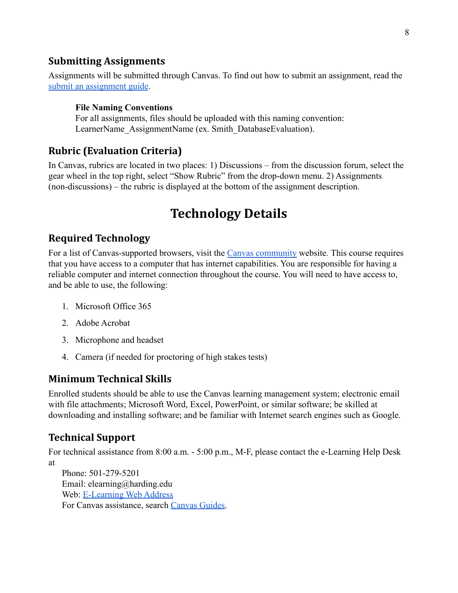#### **Submitting Assignments**

Assignments will be submitted through Canvas. To find out how to submit an assignment, read the [submit an assignment guide](https://community.canvaslms.com/t5/Student-Guide/How-do-I-submit-an-online-assignment/ta-p/503).

#### **File Naming Conventions**

For all assignments, files should be uploaded with this naming convention: LearnerName AssignmentName (ex. Smith DatabaseEvaluation).

#### **Rubric (Evaluation Criteria)**

In Canvas, rubrics are located in two places: 1) Discussions – from the discussion forum, select the gear wheel in the top right, select "Show Rubric" from the drop-down menu. 2) Assignments (non-discussions) – the rubric is displayed at the bottom of the assignment description.

## **Technology Details**

#### **Required Technology**

For a list of Canvas-supported browsers, visit the [Canvas community](https://community.canvaslms.com/docs/doc-10720) website*.* This course requires that you have access to a computer that has internet capabilities. You are responsible for having a reliable computer and internet connection throughout the course. You will need to have access to, and be able to use, the following:

- 1. Microsoft Office 365
- 2. Adobe Acrobat
- 3. Microphone and headset
- 4. Camera (if needed for proctoring of high stakes tests)

#### **Minimum Technical Skills**

Enrolled students should be able to use the Canvas learning management system; electronic email with file attachments; Microsoft Word, Excel, PowerPoint, or similar software; be skilled at downloading and installing software; and be familiar with Internet search engines such as Google.

#### **Technical Support**

For technical assistance from 8:00 a.m. - 5:00 p.m., M-F, please contact the e-Learning Help Desk at

Phone: 501-279-5201 Email: elearning@harding.edu Web: [E-Learning Web Address](http://www.harding.edu/elm) For Canvas assistance, search [Canvas Guides.](https://guides.instructure.com/m/8470)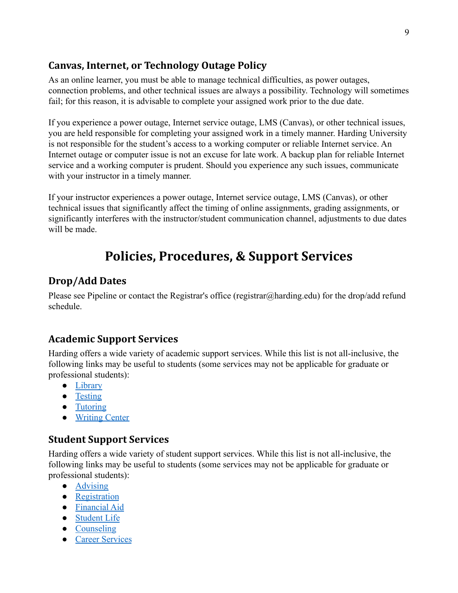#### **Canvas, Internet, or Technology Outage Policy**

As an online learner, you must be able to manage technical difficulties, as power outages, connection problems, and other technical issues are always a possibility. Technology will sometimes fail; for this reason, it is advisable to complete your assigned work prior to the due date.

If you experience a power outage, Internet service outage, LMS (Canvas), or other technical issues, you are held responsible for completing your assigned work in a timely manner. Harding University is not responsible for the student's access to a working computer or reliable Internet service. An Internet outage or computer issue is not an excuse for late work. A backup plan for reliable Internet service and a working computer is prudent. Should you experience any such issues, communicate with your instructor in a timely manner.

If your instructor experiences a power outage, Internet service outage, LMS (Canvas), or other technical issues that significantly affect the timing of online assignments, grading assignments, or significantly interferes with the instructor/student communication channel, adjustments to due dates will be made.

# **Policies, Procedures, & Support Services**

## **Drop/Add Dates**

Please see Pipeline or contact the Registrar's office (registrar@harding.edu) for the drop/add refund schedule.

## **Academic Support Services**

Harding offers a wide variety of academic support services. While this list is not all-inclusive, the following links may be useful to students (some services may not be applicable for graduate or professional students):

- [Library](https://library.harding.edu/index)
- [Testing](https://www.harding.edu/testing)
- [Tutoring](https://www.harding.edu/academics/academic-support/arc)
- [Writing Center](https://www.harding.edu/academics/colleges-departments/arts-humanities/english/writing-lab)

#### **Student Support Services**

Harding offers a wide variety of student support services. While this list is not all-inclusive, the following links may be useful to students (some services may not be applicable for graduate or professional students):

- [Advising](https://catalog.harding.edu/preview_program.php?catoid=46&poid=6988&hl=%22advising%22&returnto=search)
- [Registration](https://www.harding.edu/registrar/registration)
- [Financial Aid](https://www.harding.edu/finaid)
- [Student Life](https://www.harding.edu/student-life)
- [Counseling](https://www.harding.edu/academics/academic-support/counseling-center)
- [Career Services](https://www.harding.edu/academics/academic-support/career)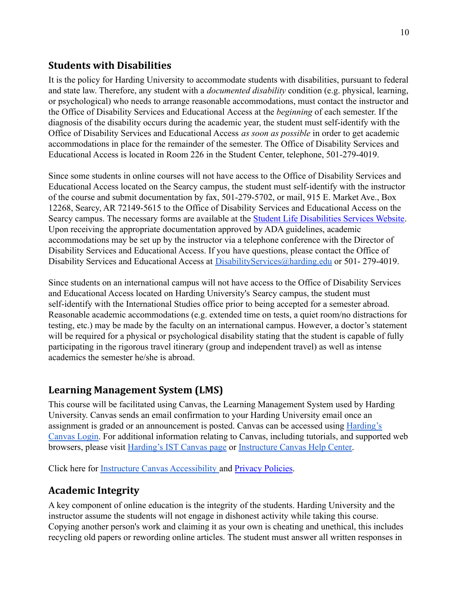#### **Students with Disabilities**

It is the policy for Harding University to accommodate students with disabilities, pursuant to federal and state law. Therefore, any student with a *documented disability* condition (e.g. physical, learning, or psychological) who needs to arrange reasonable accommodations, must contact the instructor and the Office of Disability Services and Educational Access at the *beginning* of each semester. If the diagnosis of the disability occurs during the academic year, the student must self-identify with the Office of Disability Services and Educational Access *as soon as possible* in order to get academic accommodations in place for the remainder of the semester. The Office of Disability Services and Educational Access is located in Room 226 in the Student Center, telephone, 501-279-4019.

Since some students in online courses will not have access to the Office of Disability Services and Educational Access located on the Searcy campus, the student must self-identify with the instructor of the course and submit documentation by fax, 501-279-5702, or mail, 915 E. Market Ave., Box 12268, Searcy, AR 72149-5615 to the Office of Disability Services and Educational Access on the Searcy campus. The necessary forms are available at the [Student Life Disabilities Services Website.](https://www.harding.edu/student-life/disabilityservices) Upon receiving the appropriate documentation approved by ADA guidelines, academic accommodations may be set up by the instructor via a telephone conference with the Director of Disability Services and Educational Access. If you have questions, please contact the Office of Disability Services and Educational Access at [DisabilityServices@harding.edu](mailto:DisabilityServices@harding.edu) or 501-279-4019.

Since students on an international campus will not have access to the Office of Disability Services and Educational Access located on Harding University's Searcy campus, the student must self-identify with the International Studies office prior to being accepted for a semester abroad. Reasonable academic accommodations (e.g. extended time on tests, a quiet room/no distractions for testing, etc.) may be made by the faculty on an international campus. However, a doctor's statement will be required for a physical or psychological disability stating that the student is capable of fully participating in the rigorous travel itinerary (group and independent travel) as well as intense academics the semester he/she is abroad.

## **Learning Management System (LMS)**

This course will be facilitated using Canvas, the Learning Management System used by Harding University. Canvas sends an email confirmation to your Harding University email once an assignment is graded or an announcement is posted. Canvas can be accessed using [Harding's](https://harding.instructure.com/login) [Canvas Login.](https://harding.instructure.com/login) For additional information relating to Canvas, including tutorials, and supported web browsers, please visit [Harding's IST Canvas page](https://www.harding.edu/ist/canvas) or [Instructure Canvas Help Center.](https://community.canvaslms.com/docs/DOC-10461-supported-web-browsers)

Click here for [Instructure Canvas Accessibility](https://www.canvaslms.com/accessibility) and [Privacy Policies](https://www.instructure.com/policies/privacy).

## **Academic Integrity**

A key component of online education is the integrity of the students. Harding University and the instructor assume the students will not engage in dishonest activity while taking this course. Copying another person's work and claiming it as your own is cheating and unethical, this includes recycling old papers or rewording online articles. The student must answer all written responses in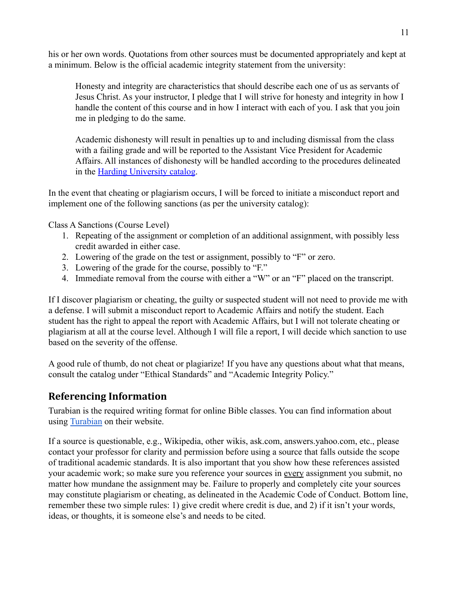his or her own words. Quotations from other sources must be documented appropriately and kept at a minimum. Below is the official academic integrity statement from the university:

Honesty and integrity are characteristics that should describe each one of us as servants of Jesus Christ. As your instructor, I pledge that I will strive for honesty and integrity in how I handle the content of this course and in how I interact with each of you. I ask that you join me in pledging to do the same.

Academic dishonesty will result in penalties up to and including dismissal from the class with a failing grade and will be reported to the Assistant Vice President for Academic Affairs. All instances of dishonesty will be handled according to the procedures delineated in the [Harding University catalog](https://catalog.harding.edu/content.php?catoid=46&navoid=3659).

In the event that cheating or plagiarism occurs, I will be forced to initiate a misconduct report and implement one of the following sanctions (as per the university catalog):

Class A Sanctions (Course Level)

- 1. Repeating of the assignment or completion of an additional assignment, with possibly less credit awarded in either case.
- 2. Lowering of the grade on the test or assignment, possibly to "F" or zero.
- 3. Lowering of the grade for the course, possibly to "F."
- 4. Immediate removal from the course with either a "W" or an "F" placed on the transcript.

If I discover plagiarism or cheating, the guilty or suspected student will not need to provide me with a defense. I will submit a misconduct report to Academic Affairs and notify the student. Each student has the right to appeal the report with Academic Affairs, but I will not tolerate cheating or plagiarism at all at the course level. Although I will file a report, I will decide which sanction to use based on the severity of the offense.

A good rule of thumb, do not cheat or plagiarize! If you have any questions about what that means, consult the catalog under "Ethical Standards" and "Academic Integrity Policy."

#### **Referencing Information**

Turabian is the required writing format for online Bible classes. You can find information about using [Turabian](https://www.chicagomanualofstyle.org/turabian/citation-guide.html) on their website.

If a source is questionable, e.g., Wikipedia, other wikis, ask.com, answers.yahoo.com, etc., please contact your professor for clarity and permission before using a source that falls outside the scope of traditional academic standards. It is also important that you show how these references assisted your academic work; so make sure you reference your sources in every assignment you submit, no matter how mundane the assignment may be. Failure to properly and completely cite your sources may constitute plagiarism or cheating, as delineated in the Academic Code of Conduct. Bottom line, remember these two simple rules: 1) give credit where credit is due, and 2) if it isn't your words, ideas, or thoughts, it is someone else's and needs to be cited.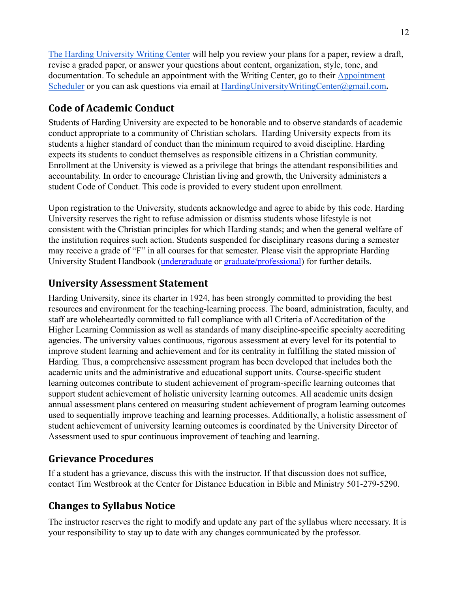[The Harding University Writing Center](https://www.harding.edu/academics/colleges-departments/arts-humanities/english/writing-lab) will help you review your plans for a paper, review a draft, revise a graded paper, or answer your questions about content, organization, style, tone, and documentation. To schedule an appointment with the Writing Center, go to their [Appointment](https://harding.mywconline.com/) [Scheduler](https://harding.mywconline.com/) or you can ask questions via email at **[HardingUniversityWritingCenter@gmail.com](mailto:HardingUniversityWritingCenter@gmail.com)**.

## **Code of Academic Conduct**

Students of Harding University are expected to be honorable and to observe standards of academic conduct appropriate to a community of Christian scholars. Harding University expects from its students a higher standard of conduct than the minimum required to avoid discipline. Harding expects its students to conduct themselves as responsible citizens in a Christian community. Enrollment at the University is viewed as a privilege that brings the attendant responsibilities and accountability. In order to encourage Christian living and growth, the University administers a student Code of Conduct. This code is provided to every student upon enrollment.

Upon registration to the University, students acknowledge and agree to abide by this code. Harding University reserves the right to refuse admission or dismiss students whose lifestyle is not consistent with the Christian principles for which Harding stands; and when the general welfare of the institution requires such action. Students suspended for disciplinary reasons during a semester may receive a grade of "F" in all courses for that semester. Please visit the appropriate Harding University Student Handbook [\(undergraduate](https://www.harding.edu/assets/www/student-life/pdf/student_handbook.pdf) or [graduate/professional\)](https://www.harding.edu/assets/www/academics/colleges-departments/graduate-professional/pdf/graduateprofessional_handbook.pdf) for further details.

## **University Assessment Statement**

Harding University, since its charter in 1924, has been strongly committed to providing the best resources and environment for the teaching-learning process. The board, administration, faculty, and staff are wholeheartedly committed to full compliance with all Criteria of Accreditation of the Higher Learning Commission as well as standards of many discipline-specific specialty accrediting agencies. The university values continuous, rigorous assessment at every level for its potential to improve student learning and achievement and for its centrality in fulfilling the stated mission of Harding. Thus, a comprehensive assessment program has been developed that includes both the academic units and the administrative and educational support units. Course-specific student learning outcomes contribute to student achievement of program-specific learning outcomes that support student achievement of holistic university learning outcomes. All academic units design annual assessment plans centered on measuring student achievement of program learning outcomes used to sequentially improve teaching and learning processes. Additionally, a holistic assessment of student achievement of university learning outcomes is coordinated by the University Director of Assessment used to spur continuous improvement of teaching and learning.

## **Grievance Procedures**

If a student has a grievance, discuss this with the instructor. If that discussion does not suffice, contact Tim Westbrook at the Center for Distance Education in Bible and Ministry 501-279-5290.

## **Changes to Syllabus Notice**

The instructor reserves the right to modify and update any part of the syllabus where necessary. It is your responsibility to stay up to date with any changes communicated by the professor.